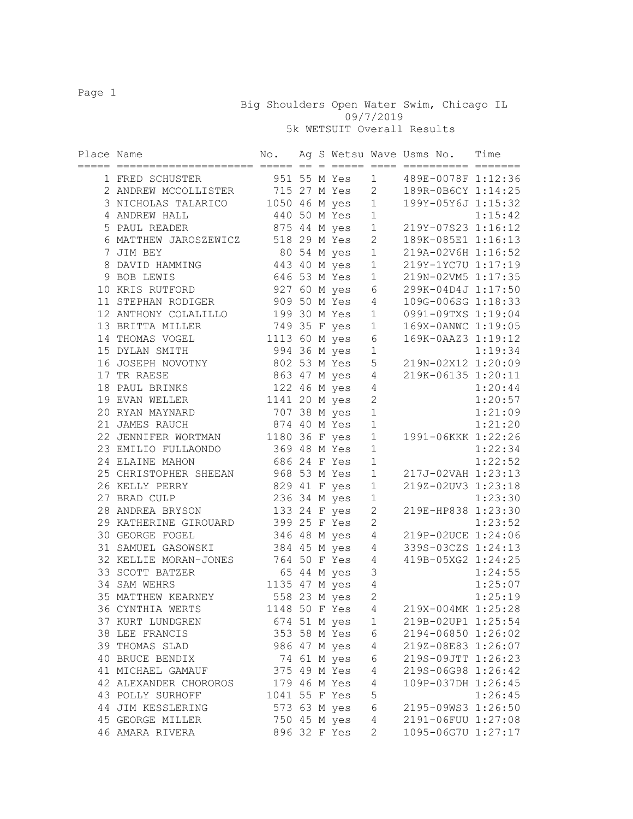Big Shoulders Open Water Swim, Chicago IL 09/7/2019 5k WETSUIT Overall Results

Place Name  $N$ o. Ag S Wetsu Wave Usms No. Time ===== ===================== ===== == = ===== ==== ========== ======= 1 FRED SCHUSTER<br>
2 ANDREW MCCOLLISTER<br>
3 NICHOLAS TALARICO<br>
1050 46 M yes 1 199Y-05Y6J 1:15:32<br>
1050 46 M yes 1 199Y-05Y6J 1:15:32<br>
1115:42 2 ANDREW MCCOLLISTER 715 27 M Yes 2 189R-0B6CY 1:14:25 3 NICHOLAS TALARICO 1050 46 M yes 1 199Y-05Y6J 1:15:32 4 ANDREW HALL 440 50 M Yes 1 1:15:42 5 PAUL READER 875 44 M yes 1 219Y-07S23 1:16:12 6 MATTHEW JAROSZEWICZ 518 29 M Yes 2 189K-085E1 1:16:13 7 JIM BEY 80 54 M yes 1 219A-02V6H 1:16:52 8 DAVID HAMMING 443 40 M yes 1 219Y-1YC7U 1:17:19 9 BOB LEWIS 646 53 M Yes 1 219N-02VM5 1:17:35 10 KRIS RUTFORD 927 60 M yes 6 299K-04D4J 1:17:50 11 STEPHAN RODIGER 909 50 M Yes 4 109G-006SG 1:18:33 12 ANTHONY COLALILLO 199 30 M Yes 1 0991-09TXS 1:19:04 13 BRITTA MILLER 749 35 F yes 1 169X-0ANWC 1:19:05 14 THOMAS VOGEL 1113 60 M yes 6 169K-0AAZ3 1:19:12 15 DYLAN SMITH 994 36 M yes 1 1:19:34 16 JOSEPH NOVOTNY 802 53 M Yes 5 219N-02X12 1:20:09 17 TR RAESE 863 47 M yes 4 219K-06135 1:20:11 18 PAUL BRINKS 122 46 M yes 4 1:20:44 19 EVAN WELLER 1141 20 M yes 2 1:20:57 20 RYAN MAYNARD 707 38 M yes 1 1:21:09 21 JAMES RAUCH 874 40 M Yes 1 1:21:20 22 JENNIFER WORTMAN 1180 36 F yes 1 1991-06KKK 1:22:26 23 EMILIO FULLAONDO 369 48 M Yes 1 1:22:34 24 ELAINE MAHON 686 24 F Yes 1 1:22:52 25 CHRISTOPHER SHEEAN 968 53 M Yes 1 217J-02VAH 1:23:13 26 KELLY PERRY 829 41 F yes 1 219Z-02UV3 1:23:18 27 BRAD CULP 236 34 M yes 1 1:23:30 28 ANDREA BRYSON 133 24 F yes 2 219E-HP838 1:23:30 29 KATHERINE GIROUARD 399 25 F Yes 2 1:23:52 30 GEORGE FOGEL 346 48 M yes 4 219P-02UCE 1:24:06 31 SAMUEL GASOWSKI 384 45 M yes 4 339S-03CZS 1:24:13 32 KELLIE MORAN-JONES 764 50 F Yes 4 419B-05XG2 1:24:25 33 SCOTT BATZER 65 44 M yes 3 1:24:55 34 SAM WEHRS 1135 47 M yes 4 1:25:07 35 MATTHEW KEARNEY 558 23 M yes 2 1:25:19 36 CYNTHIA WERTS 1148 50 F Yes 4 219X-004MK 1:25:28 37 KURT LUNDGREN 674 51 M yes 1 219B-02UP1 1:25:54 38 LEE FRANCIS 353 58 M Yes 6 2194-06850 1:26:02 39 THOMAS SLAD 986 47 M yes 4 219Z-08E83 1:26:07 40 BRUCE BENDIX 74 61 M yes 6 219S-09JTT 1:26:23 41 MICHAEL GAMAUF 375 49 M Yes 4 219S-06G98 1:26:42 42 ALEXANDER CHOROROS 179 46 M Yes 4 109P-037DH 1:26:45 43 POLLY SURHOFF 1041 55 F Yes 5 1:26:45 44 JIM KESSLERING 573 63 M yes 6 2195-09WS3 1:26:50 45 GEORGE MILLER 750 45 M yes 4 2191-06FUU 1:27:08 46 AMARA RIVERA 896 32 F Yes 2 1095-06G7U 1:27:17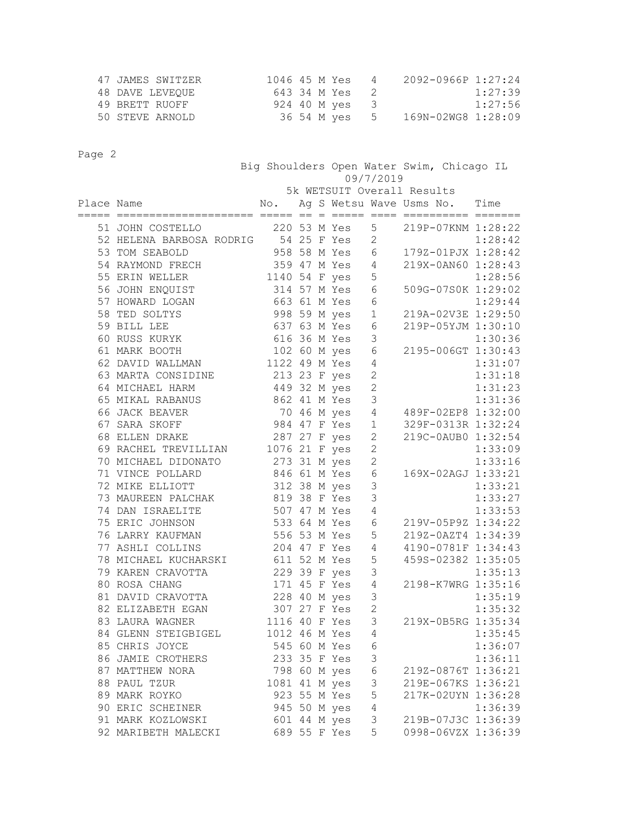| 47 JAMES SWITZER | 1046 45 M Yes  | $\sqrt{4}$ | $2092 - 0966P$ 1:27:24           |
|------------------|----------------|------------|----------------------------------|
| 48 DAVE LEVEOUE  | 643 34 M Yes 2 |            | 1:27:39                          |
| 49 BRETT RUOFF   | 924 40 M ves 3 |            | 1:27:56                          |
| 50 STEVE ARNOLD  |                |            | 36 54 M yes 5 169N-02WG8 1:28:09 |

| rage z     |                                                                 |               |  |              | 09/7/2019      | Big Shoulders Open Water Swim, Chicago IL |         |
|------------|-----------------------------------------------------------------|---------------|--|--------------|----------------|-------------------------------------------|---------|
|            |                                                                 |               |  |              |                | 5k WETSUIT Overall Results                |         |
| Place Name | acada anonconoconoconoco ocon os o ocono ocon aconocono oconoco | No.           |  |              |                | Ag S Wetsu Wave Usms No.                  | Time    |
|            | 51 JOHN COSTELLO                                                |               |  | 220 53 M Yes | 5              | 219P-07KNM 1:28:22                        |         |
|            | 52 HELENA BARBOSA RODRIG 54 25 F Yes                            |               |  |              | $\overline{c}$ |                                           | 1:28:42 |
|            | 53 TOM SEABOLD                                                  |               |  | 958 58 M Yes | 6              | 179Z-01PJX 1:28:42                        |         |
|            | 54 RAYMOND FRECH                                                |               |  | 359 47 M Yes | 4              | 219X-0AN60 1:28:43                        |         |
|            | 55 ERIN WELLER                                                  | 1140 54 F yes |  |              | 5              |                                           | 1:28:56 |
|            | 56 JOHN ENQUIST                                                 |               |  | 314 57 M Yes | 6              | 509G-07S0K 1:29:02                        |         |
|            | 57 HOWARD LOGAN                                                 |               |  | 663 61 M Yes | $\epsilon$     |                                           | 1:29:44 |
|            | 58 TED SOLTYS                                                   |               |  | 998 59 M yes | $1\,$          | 219A-02V3E 1:29:50                        |         |
|            | 59 BILL LEE                                                     |               |  | 637 63 M Yes | $\epsilon$     | 219P-05YJM 1:30:10                        |         |
|            | 60 RUSS KURYK                                                   |               |  | 616 36 M Yes | 3              |                                           | 1:30:36 |
|            | 61 MARK BOOTH                                                   |               |  | 102 60 M yes | $\epsilon$     | 2195-006GT 1:30:43                        |         |
|            | 62 DAVID WALLMAN                                                | 1122 49 M Yes |  |              | $\overline{4}$ |                                           | 1:31:07 |
|            | 63 MARTA CONSIDINE                                              |               |  | 213 23 F yes | $\overline{c}$ |                                           | 1:31:18 |
|            | 64 MICHAEL HARM                                                 | 449 32 M yes  |  |              | $\overline{c}$ |                                           | 1:31:23 |
|            | 65 MIKAL RABANUS                                                |               |  | 862 41 M Yes | 3              |                                           | 1:31:36 |
|            | 66 JACK BEAVER                                                  |               |  | 70 46 M yes  | $\sqrt{4}$     | 489F-02EP8 1:32:00                        |         |
|            | 67 SARA SKOFF                                                   |               |  | 984 47 F Yes | $\mathbf{1}$   | 329F-0313R 1:32:24                        |         |
|            | 68 ELLEN DRAKE                                                  |               |  | 287 27 F yes | $\overline{c}$ | 219C-0AUB0 1:32:54                        |         |
|            | 69 RACHEL TREVILLIAN                                            | 1076 21 F yes |  |              | $\overline{c}$ |                                           | 1:33:09 |
|            | 70 MICHAEL DIDONATO                                             |               |  | 273 31 M yes | $\overline{c}$ |                                           | 1:33:16 |
|            | 71 VINCE POLLARD                                                |               |  | 846 61 M Yes | 6              | 169X-02AGJ 1:33:21                        |         |
|            | 72 MIKE ELLIOTT                                                 |               |  | 312 38 M yes | 3              |                                           | 1:33:21 |
|            | 73 MAUREEN PALCHAK                                              |               |  | 819 38 F Yes | 3              |                                           | 1:33:27 |
|            | 74 DAN ISRAELITE                                                |               |  | 507 47 M Yes | 4              |                                           | 1:33:53 |
|            | 75 ERIC JOHNSON                                                 | 533 64 M Yes  |  |              | 6              | 219V-05P9Z 1:34:22                        |         |
|            | 76 LARRY KAUFMAN                                                |               |  | 556 53 M Yes | 5              | 219Z-0AZT4 1:34:39                        |         |
|            | 77 ASHLI COLLINS                                                |               |  | 204 47 F Yes | 4              | 4190-0781F 1:34:43                        |         |
|            | 78 MICHAEL KUCHARSKI<br>79 KAREN CRAVOTTA                       | 611 52 M Yes  |  | 229 39 F yes | 5<br>3         | 459S-02382 1:35:05                        | 1:35:13 |
|            | 80 ROSA CHANG                                                   |               |  | 171 45 F Yes | 4              | 2198-K7WRG 1:35:16                        |         |
|            | 81 DAVID CRAVOTTA                                               |               |  | 228 40 M yes | 3              |                                           | 1:35:19 |
|            | 82 ELIZABETH EGAN                                               |               |  | 307 27 F Yes | $\overline{c}$ |                                           | 1:35:32 |
|            | 83 LAURA WAGNER                                                 | 1116 40 F Yes |  |              | 3              | 219X-0B5RG 1:35:34                        |         |
|            | 84 GLENN STEIGBIGEL                                             | 1012 46 M Yes |  |              | 4              |                                           | 1:35:45 |
|            | 85 CHRIS JOYCE                                                  |               |  | 545 60 M Yes | $\sqrt{6}$     |                                           | 1:36:07 |
|            | 86 JAMIE CROTHERS                                               | 233 35 F Yes  |  |              | 3              |                                           | 1:36:11 |
|            | 87 MATTHEW NORA                                                 |               |  | 798 60 M yes | $\epsilon$     | 219Z-0876T 1:36:21                        |         |
|            | 88 PAUL TZUR                                                    | 1081 41 M yes |  |              | $\mathcal{S}$  | 219E-067KS 1:36:21                        |         |
|            | 89 MARK ROYKO                                                   |               |  | 923 55 M Yes | $\mathsf S$    | 217K-02UYN 1:36:28                        |         |
|            | 90 ERIC SCHEINER                                                | 945 50 M yes  |  |              | 4              |                                           | 1:36:39 |
|            | 91 MARK KOZLOWSKI                                               |               |  | 601 44 M yes | 3              | 219B-07J3C 1:36:39                        |         |
|            | 92 MARIBETH MALECKI                                             | 689 55 F Yes  |  |              | 5              | 0998-06VZX 1:36:39                        |         |
|            |                                                                 |               |  |              |                |                                           |         |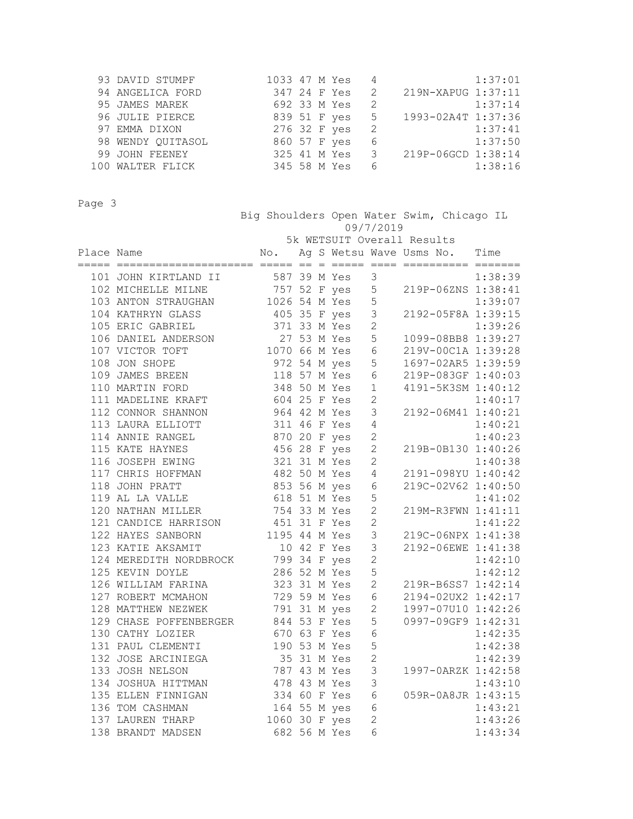| 93 DAVID STUMPF   |              | 1033 47 M Yes 4 |               |                    | 1:37:01 |
|-------------------|--------------|-----------------|---------------|--------------------|---------|
| 94 ANGELICA FORD  | 347 24 F Yes |                 | $\mathcal{L}$ | 219N-XAPUG 1:37:11 |         |
| 95 JAMES MAREK    | 692 33 M Yes |                 | -2            |                    | 1:37:14 |
| 96 JULIE PIERCE   | 839 51 F yes |                 | 5             | 1993-02A4T 1:37:36 |         |
| 97 EMMA DIXON     | 276 32 F yes | $\overline{2}$  |               |                    | 1:37:41 |
| 98 WENDY QUITASOL | 860 57 F yes |                 | 6             |                    | 1:37:50 |
| 99 JOHN FEENEY    | 325 41 M Yes |                 | 3             | 219P-06GCD 1:38:14 |         |
| 100 WALTER FLICK  | 345 58 M Yes |                 | 6             |                    | 1:38:16 |

 Big Shoulders Open Water Swim, Chicago IL 09/7/2019 5k WETSUIT Overall Results Place Name  $\qquad \qquad \mathbb{N}$ o. Aq S Wetsu Wave Usms No. Time ===== ===================== ===== == = ===== ==== ========== ======= 101 JOHN KIRTLAND II 387 39 M Yes 3 1:38:39<br>102 MICHELLE MILNE 757 52 F yes 5 219P-06ZNS 1:38:41 102 MICHELLE MILNE 757 52 F yes 5 219P-06ZNS 1:38:41 103 ANTON STRAUGHAN 1026 54 M Yes 5 1:39:07 104 KATHRYN GLASS 405 35 F yes 3 2192-05F8A 1:39:15 105 ERIC GABRIEL 371 33 M Yes 2 1:39:26 106 DANIEL ANDERSON 27 53 M Yes 5 1099-08BB8 1:39:27 107 VICTOR TOFT 1070 66 M Yes 6 219V-00C1A 1:39:28 108 JON SHOPE 972 54 M yes 5 1697-02AR5 1:39:59 109 JAMES BREEN 118 57 M Yes 6 219P-083GF 1:40:03

| 110 MARTIN FORD                                                                                             |              |  | 348 50 M Yes | $\mathbf{1}$   | 4191-5K3SM 1:40:12              |         |
|-------------------------------------------------------------------------------------------------------------|--------------|--|--------------|----------------|---------------------------------|---------|
| 111 MADELINE KRAFT 604 25 F Yes                                                                             |              |  |              | $\overline{2}$ |                                 | 1:40:17 |
| 112 CONNOR SHANNON 964 42 M Yes                                                                             |              |  |              | 3              | $1:40:17$<br>2192-06M41 1:40:21 |         |
| 113 LAURA ELLIOTT 311 46 F Yes                                                                              |              |  |              | $\sqrt{4}$     |                                 | 1:40:21 |
| 114 ANNIE RANGEL 870 20 F yes<br>115 KATE HAYNES 456 28 F yes                                               |              |  |              | $\overline{c}$ |                                 | 1:40:23 |
|                                                                                                             |              |  |              | $\mathbf{2}$   | 219B-0B130 1:40:26              |         |
| 116 JOSEPH EWING 321 31 M Yes                                                                               |              |  |              | $\overline{c}$ |                                 | 1:40:38 |
|                                                                                                             |              |  |              |                | 2191-098YU 1:40:42              |         |
| 117 CHRIS HOFFMAN 482 50 M Yes 4<br>118 JOHN PRATT 853 56 M yes 6                                           |              |  |              |                | 219C-02V62 1:40:50              |         |
| 119 AL LA VALLE 618 51 M Yes                                                                                |              |  |              | 5              |                                 | 1:41:02 |
| 120 NATHAN MILLER 754 33 M Yes                                                                              |              |  |              | $\mathbf{2}$   | 1:41:02<br>219M-R3FWN 1:41:11   |         |
| 121 CANDICE HARRISON 451 31 F Yes 2<br>122 HAYES SANBORN 1195 44 M Yes 3<br>123 KATIE AKSAMIT 10 42 F Yes 3 |              |  |              |                |                                 | 1:41:22 |
|                                                                                                             |              |  |              | $\mathcal{S}$  | $219C-06NPX$ 1:41:38            |         |
|                                                                                                             |              |  |              |                | 2192-06EWE 1:41:38              |         |
| 124 MEREDITH NORDBROCK 799 34 F yes<br>125 KEVIN DOYLE 286 52 M Yes                                         |              |  |              | $\overline{2}$ |                                 | 1:42:10 |
|                                                                                                             |              |  |              | 5              |                                 | 1:42:12 |
| 126 WILLIAM FARINA 323 31 M Yes 2<br>127 ROBERT MCMAHON 729 59 M Yes 6                                      |              |  |              |                | 219R-B6SS7 1:42:14              |         |
|                                                                                                             |              |  |              |                | 2194-02UX2 1:42:17              |         |
| 128 MATTHEW NEZWEK 791 31 M yes 2                                                                           |              |  |              |                | 1997-07U10 1:42:26              |         |
| 129 CHASE POFFENBERGER 844 53 F Yes<br>130 CATHY LOZIER 670 63 F Yes                                        |              |  |              | 5              | 0997-09GF9 1:42:31              |         |
|                                                                                                             |              |  |              | $6\,$          |                                 | 1:42:35 |
| 131 PAUL CLEMENTI 190 53 M Yes<br>132 JOSE ARCINIEGA 35 31 M Yes                                            |              |  |              | 5              |                                 | 1:42:38 |
|                                                                                                             |              |  |              | $\overline{c}$ |                                 | 1:42:39 |
| 133 JOSH NELSON                                                                                             | 787 43 M Yes |  |              | $\mathcal{S}$  | 1997-0ARZK 1:42:58              |         |
| 134 JOSHUA HITTMAN 478 43 M Yes                                                                             |              |  |              | 3              |                                 | 1:43:10 |
| 135 ELLEN FINNIGAN 334 60 F Yes                                                                             |              |  |              | $\sqrt{6}$     | 059R-0A8JR 1:43:15              |         |
| 136 TOM CASHMAN 164 55 M yes<br>137 LAUREN THARP 1060 30 F yes                                              |              |  |              | $\sqrt{6}$     |                                 | 1:43:21 |
|                                                                                                             |              |  |              | $\overline{2}$ |                                 | 1:43:26 |
| 138 BRANDT MADSEN 682 56 M Yes                                                                              |              |  |              | 6              |                                 | 1:43:34 |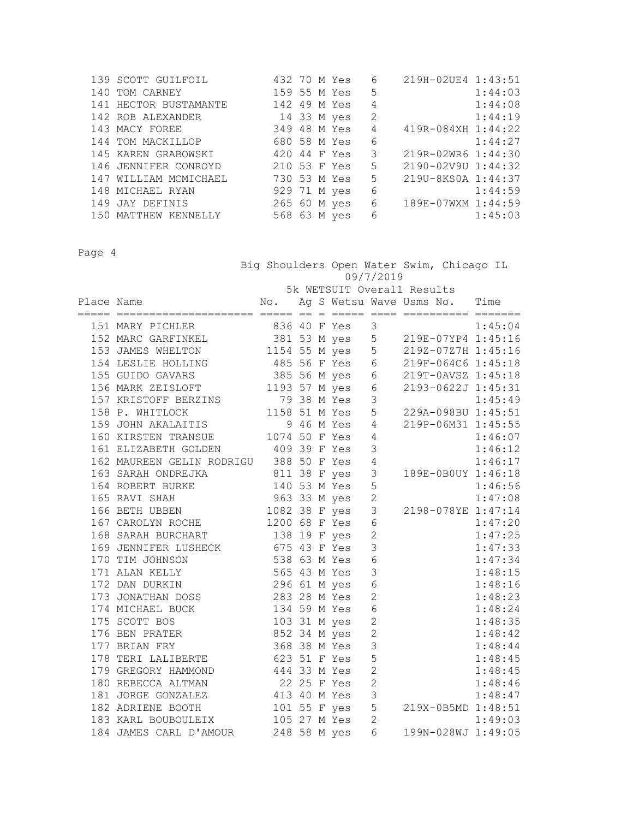| 139 SCOTT GUILFOIL    | 432 70 M Yes |  | 6 | 219H-02UE4 1:43:51 |         |
|-----------------------|--------------|--|---|--------------------|---------|
| 140 TOM CARNEY        | 159 55 M Yes |  | 5 |                    | 1:44:03 |
| 141 HECTOR BUSTAMANTE | 142 49 M Yes |  | 4 |                    | 1:44:08 |
| 142 ROB ALEXANDER     | 14 33 M yes  |  | 2 |                    | 1:44:19 |
| 143 MACY FOREE        | 349 48 M Yes |  | 4 | 419R-084XH 1:44:22 |         |
| 144 TOM MACKILLOP     | 680 58 M Yes |  | 6 | 1:44:27            |         |
| 145 KAREN GRABOWSKI   | 420 44 F Yes |  | 3 | 219R-02WR6 1:44:30 |         |
| 146 JENNIFER CONROYD  | 210 53 F Yes |  | 5 | 2190-02V9U 1:44:32 |         |
| 147 WILLIAM MCMICHAEL | 730 53 M Yes |  | 5 | 219U-8KS0A 1:44:37 |         |
| 148 MICHAEL RYAN      | 929 71 M yes |  | 6 |                    | 1:44:59 |
| 149 JAY DEFINIS       | 265 60 M yes |  | 6 | 189E-07WXM 1:44:59 |         |
| 150 MATTHEW KENNELLY  | 568 63 M yes |  | 6 |                    | 1:45:03 |

 Big Shoulders Open Water Swim, Chicago IL 09/7/2019 5k WETSUIT Overall Results

|                                                                                                                                                                                                                 |              |  |                |                                          | 1:45:04                |
|-----------------------------------------------------------------------------------------------------------------------------------------------------------------------------------------------------------------|--------------|--|----------------|------------------------------------------|------------------------|
| 151 MARY PICHLER 836 40 F Yes 3<br>152 MARC GARFINKEL 381 53 M yes 5 219E-07YP4 1:45:16<br>153 JAMES WHELTON 1154 55 M yes 5 219Z-07Z7H 1:45:16                                                                 |              |  |                |                                          |                        |
|                                                                                                                                                                                                                 |              |  |                |                                          |                        |
| 154 LESLIE HOLLING 485 56 F Yes 6 219F-064C6 1:45:18                                                                                                                                                            |              |  |                |                                          |                        |
| 155 GUIDO GAVARS 385 56 M yes 6 219T-0AVSZ 1:45:18                                                                                                                                                              |              |  |                |                                          |                        |
| 156 MARK ZEISLOFT 1193 57 M yes 6 2193-0622J 1:45:31                                                                                                                                                            |              |  |                |                                          |                        |
|                                                                                                                                                                                                                 |              |  |                |                                          |                        |
|                                                                                                                                                                                                                 |              |  |                | 1:45:49<br>229A-098BU 1:45:51            |                        |
|                                                                                                                                                                                                                 |              |  |                | 219P-06M31 1:45:55                       |                        |
| 157 KRISTOFF BERZINS<br>158 P. WHITLOCK<br>159 JOHN AKALAITIS<br>160 KIRSTEN TRANSUE<br>161 NITERPEW COUPLY 1074 50 F Yes 4                                                                                     |              |  |                |                                          | 1:46:07                |
|                                                                                                                                                                                                                 |              |  |                |                                          | 1:46:12                |
| 161 ELIZABETH GOLDEN 409 39 F Yes 3<br>162 MAUREEN GELIN RODRIGU 388 50 F Yes 4                                                                                                                                 |              |  |                |                                          |                        |
|                                                                                                                                                                                                                 |              |  |                | 1:46:17<br>189E-0B0UY 1:46:18            |                        |
| 163 SARAH ONDREJKA 1811 38 F yes 3<br>164 ROBERT BURKE 140 53 M Yes 5                                                                                                                                           |              |  |                |                                          |                        |
|                                                                                                                                                                                                                 |              |  |                | 1:46:56<br>1:47:08<br>2198-078YE 1:47:14 |                        |
|                                                                                                                                                                                                                 |              |  |                |                                          |                        |
| 167 CAROLYN ROCHE 1200 68 F Yes 6                                                                                                                                                                               |              |  |                |                                          | 1:47:20                |
| 168 SARAH BURCHART 138 19 F yes 2                                                                                                                                                                               |              |  |                |                                          | 1:47:25                |
| 169 JENNIFER LUSHECK<br>169 JENNIFER LUSHECK<br>170 TIM JOHNSON<br>171 ALAN KELLY<br>172 DAN DURKIN<br>173 JONATHAN DOSS<br>173 JONATHAN DOSS<br>174 MICUAET BUCK<br>174 MICUAET BUCK<br>174 MICUAET BUCK       |              |  |                |                                          | 1:47:33                |
|                                                                                                                                                                                                                 |              |  |                |                                          | 1:47:34                |
|                                                                                                                                                                                                                 |              |  |                |                                          | 1:48:15                |
|                                                                                                                                                                                                                 |              |  |                |                                          | 1:48:16                |
|                                                                                                                                                                                                                 |              |  |                |                                          | 1:48:23                |
| 174 MICHAEL BUCK 134 59 M Yes 6<br>175 SCOTT BOS 103 31 M yes 2                                                                                                                                                 |              |  | $\overline{6}$ |                                          | 1:48:24                |
|                                                                                                                                                                                                                 |              |  |                |                                          | 1:48:35                |
| 176 BEN PRATER 652 34 M yes 2                                                                                                                                                                                   |              |  |                |                                          | 1:48:42                |
| 177 BRIAN FRY                                                                                                                                                                                                   | 368 38 M Yes |  | 3              |                                          | 1:48:44                |
| 178 TERI LALIBERTE 623 51 F Yes 5                                                                                                                                                                               |              |  |                |                                          | $1:48:45$<br>$1:48:45$ |
| 179 GREGORY HAMMOND 444 33 M Yes 2                                                                                                                                                                              |              |  |                |                                          |                        |
|                                                                                                                                                                                                                 |              |  |                |                                          | 1:48:46                |
|                                                                                                                                                                                                                 |              |  |                |                                          | 1:48:47                |
| 179 GREGORI HAMMOND<br>180 REBECCA ALTMAN 22 25 F Yes 2<br>181 JORGE GONZALEZ 413 40 M Yes 3<br>182 ADRIENE BOOTH 101 55 F yes 5<br>183 KARL BOUBOULEIX 105 27 M Yes 2<br>184 JAMES CARL D'AMOUR 248 58 M yes 6 |              |  |                | $219X-0B5MD$ 1:48:51                     |                        |
|                                                                                                                                                                                                                 |              |  |                | ں:49:ں<br>199N-028WJ 1:49:05             |                        |
|                                                                                                                                                                                                                 |              |  |                |                                          |                        |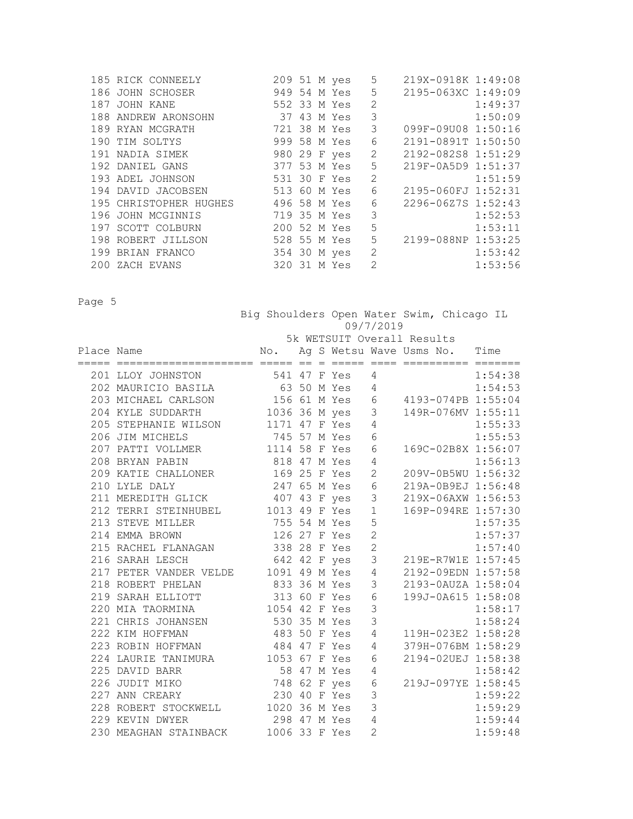|  | 185 RICK CONNEELY      |              |  | 209 51 M yes | 5              | 219X-0918K 1:49:08 |         |
|--|------------------------|--------------|--|--------------|----------------|--------------------|---------|
|  | 186 JOHN SCHOSER       |              |  | 949 54 M Yes | 5              | 2195-063XC 1:49:09 |         |
|  | 187 JOHN KANE          | 552 33 M Yes |  |              | $\overline{2}$ |                    | 1:49:37 |
|  | 188 ANDREW ARONSOHN    | 37 43 M Yes  |  |              | 3              |                    | 1:50:09 |
|  | 189 RYAN MCGRATH       |              |  | 721 38 M Yes | 3              | 099F-09U08 1:50:16 |         |
|  | 190 TIM SOLTYS         |              |  | 999 58 M Yes | 6              | 2191-0891T 1:50:50 |         |
|  | 191 NADIA SIMEK        |              |  | 980 29 F yes | $\sqrt{2}$     | 2192-082S8 1:51:29 |         |
|  | 192 DANIEL GANS        |              |  | 377 53 M Yes | 5              | 219F-0A5D9 1:51:37 |         |
|  | 193 ADEL JOHNSON       | 531 30 F Yes |  |              | $\overline{2}$ |                    | 1:51:59 |
|  | 194 DAVID JACOBSEN     |              |  | 513 60 M Yes | 6              | 2195-060FJ 1:52:31 |         |
|  | 195 CHRISTOPHER HUGHES | 496 58 M Yes |  |              | 6              | 2296-0627S 1:52:43 |         |
|  | 196 JOHN MCGINNIS      | 719 35 M Yes |  |              | 3              |                    | 1:52:53 |
|  | 197 SCOTT COLBURN      | 200 52 M Yes |  |              | 5              |                    | 1:53:11 |
|  | 198 ROBERT JILLSON     | 528 55 M Yes |  |              | 5              | 2199-088NP 1:53:25 |         |
|  | 199 BRIAN FRANCO       |              |  | 354 30 M yes | $\mathbf{2}$   |                    | 1:53:42 |
|  | 200 ZACH EVANS         | 320          |  | 31 M Yes     | 2              |                    | 1:53:56 |
|  |                        |              |  |              |                |                    |         |

|            |                                      |               |  |              |                          | Big Shoulders Open Water Swim, Chicago IL |         |
|------------|--------------------------------------|---------------|--|--------------|--------------------------|-------------------------------------------|---------|
|            |                                      |               |  |              | 09/7/2019                |                                           |         |
|            |                                      |               |  |              |                          | 5k WETSUIT Overall Results                |         |
| Place Name |                                      | No.           |  |              |                          | Ag S Wetsu Wave Usms No. Time             |         |
|            |                                      |               |  |              |                          |                                           |         |
|            | 201 LLOY JOHNSTON                    |               |  | 541 47 F Yes | 4                        |                                           | 1:54:38 |
|            | 202 MAURICIO BASILA                  |               |  | 63 50 M Yes  | $\overline{4}$           |                                           | 1:54:53 |
|            | 203 MICHAEL CARLSON                  |               |  | 156 61 M Yes | 6                        | 4193-074PB 1:55:04                        |         |
|            | 204 KYLE SUDDARTH                    | 1036 36 M yes |  |              | 3                        | 149R-076MV 1:55:11                        |         |
|            | 205 STEPHANIE WILSON 1171 47 F Yes   |               |  |              | 4                        |                                           | 1:55:33 |
|            | 206 JIM MICHELS                      | 745 57 M Yes  |  |              | 6                        |                                           | 1:55:53 |
|            | 207 PATTI VOLLMER 1114 58 F Yes      |               |  |              | 6                        | 169C-02B8X 1:56:07                        |         |
|            | 208 BRYAN PABIN                      | 818 47 M Yes  |  |              | $\overline{4}$           |                                           | 1:56:13 |
|            | 209 KATIE CHALLONER                  | 169 25 F Yes  |  |              | $\mathbf{2}$             | 209V-0B5WU 1:56:32                        |         |
|            | 210 LYLE DALY                        | 247 65 M Yes  |  |              | 6                        | 219A-0B9EJ 1:56:48                        |         |
|            | 211 MEREDITH GLICK                   | 407 43 F yes  |  |              | 3                        | 219X-06AXW 1:56:53                        |         |
|            | 212 TERRI STEINHUBEL 1013 49 F Yes   |               |  |              | $\mathbf{1}$             | 169P-094RE 1:57:30                        |         |
|            | 213 STEVE MILLER                     | 755 54 M Yes  |  |              | 5                        |                                           | 1:57:35 |
|            | 214 EMMA BROWN                       | 126 27 F Yes  |  |              | $\overline{2}$           |                                           | 1:57:37 |
|            | 215 RACHEL FLANAGAN 338 28 F Yes     |               |  |              | $\overline{2}$           |                                           | 1:57:40 |
|            | 216 SARAH LESCH                      | 642 42 F yes  |  |              | 3                        | 219E-R7W1E 1:57:45                        |         |
|            | 217 PETER VANDER VELDE 1091 49 M Yes |               |  |              | $\overline{4}$           | 2192-09EDN 1:57:58                        |         |
|            | 218 ROBERT PHELAN                    | 833 36 M Yes  |  |              | 3                        | 2193-0AUZA 1:58:04                        |         |
|            | 219 SARAH ELLIOTT 313 60 F Yes       |               |  |              | 6                        | 199J-0A615 1:58:08                        |         |
|            | 220 MIA TAORMINA                     | 1054 42 F Yes |  |              | 3                        |                                           | 1:58:17 |
|            | 221 CHRIS JOHANSEN                   | 530 35 M Yes  |  |              | 3                        |                                           | 1:58:24 |
|            | 222 KIM HOFFMAN                      | 483 50 F Yes  |  |              | 4                        | 119H-023E2 1:58:28                        |         |
|            | 223 ROBIN HOFFMAN                    | 484 47 F Yes  |  |              | 4                        | 379H-076BM 1:58:29                        |         |
|            | 224 LAURIE TANIMURA 1053 67 F Yes    |               |  |              | 6                        | 2194-02UEJ 1:58:38                        |         |
|            | 225 DAVID BARR                       | 58 47 M Yes   |  |              | 4                        |                                           | 1:58:42 |
|            | 226 JUDIT MIKO                       | 748 62 F yes  |  |              | 6                        | 219J-097YE 1:58:45                        |         |
|            | 227 ANN CREARY                       | 230 40 F Yes  |  |              | 3                        |                                           | 1:59:22 |
|            | 228 ROBERT STOCKWELL                 | 1020 36 M Yes |  |              | 3                        |                                           | 1:59:29 |
|            | 229 KEVIN DWYER                      | 298 47 M Yes  |  |              | $\overline{4}$           |                                           | 1:59:44 |
|            | 230 MEAGHAN STAINBACK                | 1006 33 F Yes |  |              | $\overline{\mathcal{L}}$ |                                           | 1:59:48 |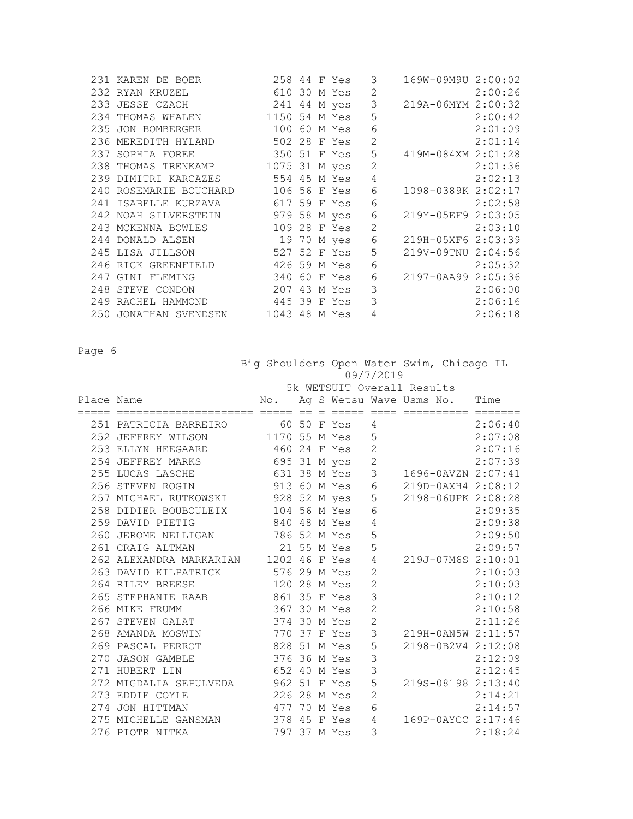| 231 KAREN DE BOER   |  |  | 3                                                                                                                                                                                                                                                                                                                                                                                                                                                                                                                                                                                             | 169W-09M9U 2:00:02  |                                                                                      |
|---------------------|--|--|-----------------------------------------------------------------------------------------------------------------------------------------------------------------------------------------------------------------------------------------------------------------------------------------------------------------------------------------------------------------------------------------------------------------------------------------------------------------------------------------------------------------------------------------------------------------------------------------------|---------------------|--------------------------------------------------------------------------------------|
| 232 RYAN KRUZEL     |  |  | $\mathbf{2}$                                                                                                                                                                                                                                                                                                                                                                                                                                                                                                                                                                                  |                     | 2:00:26                                                                              |
|                     |  |  |                                                                                                                                                                                                                                                                                                                                                                                                                                                                                                                                                                                               |                     |                                                                                      |
|                     |  |  | 5                                                                                                                                                                                                                                                                                                                                                                                                                                                                                                                                                                                             |                     | 2:00:42                                                                              |
|                     |  |  | 6                                                                                                                                                                                                                                                                                                                                                                                                                                                                                                                                                                                             |                     | 2:01:09                                                                              |
|                     |  |  | $\overline{c}$                                                                                                                                                                                                                                                                                                                                                                                                                                                                                                                                                                                |                     | 2:01:14                                                                              |
| 237 SOPHIA FOREE    |  |  | 5                                                                                                                                                                                                                                                                                                                                                                                                                                                                                                                                                                                             |                     |                                                                                      |
|                     |  |  | $\overline{c}$                                                                                                                                                                                                                                                                                                                                                                                                                                                                                                                                                                                |                     | 2:01:36                                                                              |
|                     |  |  | $\sqrt{4}$                                                                                                                                                                                                                                                                                                                                                                                                                                                                                                                                                                                    |                     | 2:02:13                                                                              |
|                     |  |  | 6                                                                                                                                                                                                                                                                                                                                                                                                                                                                                                                                                                                             | 1098-0389K 2:02:17  |                                                                                      |
|                     |  |  | 6                                                                                                                                                                                                                                                                                                                                                                                                                                                                                                                                                                                             |                     | 2:02:58                                                                              |
|                     |  |  | 6                                                                                                                                                                                                                                                                                                                                                                                                                                                                                                                                                                                             | 219Y-05EF9 2:03:05  |                                                                                      |
|                     |  |  | $\overline{2}$                                                                                                                                                                                                                                                                                                                                                                                                                                                                                                                                                                                |                     | 2:03:10                                                                              |
| 244 DONALD ALSEN    |  |  | $\sqrt{6}$                                                                                                                                                                                                                                                                                                                                                                                                                                                                                                                                                                                    |                     |                                                                                      |
|                     |  |  | 5                                                                                                                                                                                                                                                                                                                                                                                                                                                                                                                                                                                             | 219V-09TNU 2:04:56  |                                                                                      |
| 246 RICK GREENFIELD |  |  | 6                                                                                                                                                                                                                                                                                                                                                                                                                                                                                                                                                                                             |                     | 2:05:32                                                                              |
| 247 GINI FLEMING    |  |  | 6                                                                                                                                                                                                                                                                                                                                                                                                                                                                                                                                                                                             |                     |                                                                                      |
| 248 STEVE CONDON    |  |  | 3                                                                                                                                                                                                                                                                                                                                                                                                                                                                                                                                                                                             |                     | 2:06:00                                                                              |
|                     |  |  |                                                                                                                                                                                                                                                                                                                                                                                                                                                                                                                                                                                               |                     | 2:06:16                                                                              |
|                     |  |  | $\overline{4}$                                                                                                                                                                                                                                                                                                                                                                                                                                                                                                                                                                                |                     | 2:06:18                                                                              |
|                     |  |  | 258 44 F Yes<br>610 30 M Yes<br>233 JESSE CZACH 241 44 M yes<br>234 THOMAS WHALEN 1150 54 M Yes<br>235 JON BOMBERGER 100 60 M Yes<br>236 MEREDITH HYLAND 502 28 F Yes<br>350 51 F Yes<br>238 THOMAS TRENKAMP 1075 31 M yes<br>239 DIMITRI KARCAZES 554 45 M Yes<br>240 ROSEMARIE BOUCHARD 106 56 F Yes<br>241 ISABELLE KURZAVA 617 59 F Yes<br>242 NOAH SILVERSTEIN 979 58 M yes<br>243 MCKENNA BOWLES 109 28 F Yes<br>19 70 M yes<br>245 LISA JILLSON 527 52 F Yes<br>426 59 M Yes<br>340 60 F Yes<br>207 43 M Yes<br>249 RACHEL HAMMOND 445 39 F Yes<br>250 JONATHAN SVENDSEN 1043 48 M Yes | $\mathfrak{Z}$<br>3 | 219A-06MYM 2:00:32<br>419M-084XM 2:01:28<br>219H-05XF6 2:03:39<br>2197-0AA99 2:05:36 |

|            |                                       | Big Shoulders Open Water Swim, Chicago IL |  |                               | 09/7/2019      |                |                    |
|------------|---------------------------------------|-------------------------------------------|--|-------------------------------|----------------|----------------|--------------------|
|            |                                       |                                           |  | 5k WETSUIT Overall Results    |                |                |                    |
| Place Name |                                       | No.                                       |  | Ag S Wetsu Wave Usms No. Time |                |                |                    |
|            | 251 PATRICIA BARREIRO                 | 60 50 F Yes                               |  |                               | 4              | =========== == | 2:06:40            |
|            | 252 JEFFREY WILSON                    | 1170 55 M Yes                             |  |                               | 5              |                | 2:07:08            |
|            | 253 ELLYN HEEGAARD                    | 460 24 F Yes                              |  |                               | $\overline{c}$ |                | 2:07:16            |
|            | 254 JEFFREY MARKS 695 31 M yes        |                                           |  |                               | $\overline{c}$ |                | 2:07:39            |
|            | 255 LUCAS LASCHE                      | 631 38 M Yes                              |  |                               | 3              |                | 1696-0AVZN 2:07:41 |
|            | 256 STEVEN ROGIN                      | 913 60 M Yes                              |  |                               | $\sqrt{6}$     |                | 219D-0AXH4 2:08:12 |
|            | 257 MICHAEL RUTKOWSKI 928 52 M yes    |                                           |  |                               | 5              |                | 2198-06UPK 2:08:28 |
|            | 258 DIDIER BOUBOULEIX 104 56 M Yes    |                                           |  |                               | 6              |                | 2:09:35            |
|            | 259 DAVID PIETIG                      | 840 48 M Yes                              |  |                               | 4              |                | 2:09:38            |
|            | 260 JEROME NELLIGAN 786 52 M Yes      |                                           |  |                               | 5              |                | 2:09:50            |
|            | 261 CRAIG ALTMAN                      | 21 55 M Yes                               |  |                               | 5              |                | 2:09:57            |
|            | 262 ALEXANDRA MARKARIAN 1202 46 F Yes |                                           |  |                               | 4              |                | 219J-07M6S 2:10:01 |
|            | 263 DAVID KILPATRICK 576 29 M Yes     |                                           |  |                               | $\overline{2}$ |                | 2:10:03            |
|            | 264 RILEY BREESE                      | 120 28 M Yes                              |  |                               | $\overline{c}$ |                | 2:10:03            |
|            | 265 STEPHANIE RAAB 861 35 F Yes       |                                           |  |                               | 3              |                | 2:10:12            |
|            | 266 MIKE FRUMM                        | 367 30 M Yes                              |  |                               | $\overline{2}$ |                | 2:10:58            |
|            | 267 STEVEN GALAT                      | 374 30 M Yes                              |  |                               | $\overline{c}$ |                | 2:11:26            |
|            | 268 AMANDA MOSWIN                     | 770 37 F Yes                              |  |                               | 3              |                | 219H-0AN5W 2:11:57 |
|            | 269 PASCAL PERROT                     | 828 51 M Yes                              |  |                               | 5              |                | 2198-0B2V4 2:12:08 |
|            | 270 JASON GAMBLE                      | 376 36 M Yes                              |  |                               | 3              |                | 2:12:09            |
|            | 271 HUBERT LIN                        | 652 40 M Yes                              |  |                               | $\overline{3}$ |                | 2:12:45            |
|            | 272 MIGDALIA SEPULVEDA 962 51 F Yes   |                                           |  |                               | 5              |                | 219S-08198 2:13:40 |
|            | 273 EDDIE COYLE                       | 226 28 M Yes                              |  |                               | $\overline{c}$ |                | 2:14:21            |
|            | 274 JON HITTMAN                       | 477 70 M Yes                              |  |                               | 6              |                | 2:14:57            |
|            | 275 MICHELLE GANSMAN 378 45 F Yes     |                                           |  |                               | $\overline{4}$ |                | 169P-0AYCC 2:17:46 |
|            | 276 PIOTR NITKA                       | 797 37 M Yes                              |  |                               | 3              |                | 2:18:24            |